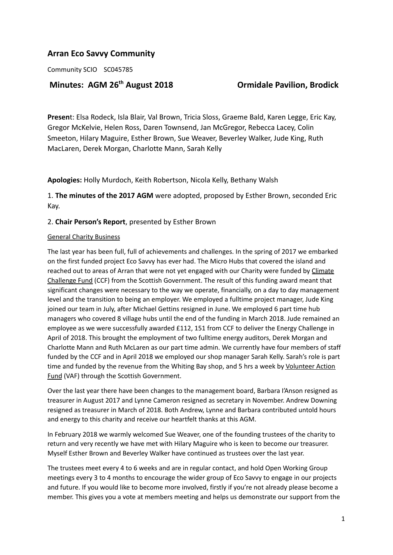# **Arran Eco Savvy Community**

Community SCIO SC045785

# **Minutes: AGM 26**

# **th August 2018 Ormidale Pavilion, Brodick**

**Presen**t: Elsa Rodeck, Isla Blair, Val Brown, Tricia Sloss, Graeme Bald, Karen Legge, Eric Kay, Gregor McKelvie, Helen Ross, Daren Townsend, Jan McGregor, Rebecca Lacey, Colin Smeeton, Hilary Maguire, Esther Brown, Sue Weaver, Beverley Walker, Jude King, Ruth MacLaren, Derek Morgan, Charlotte Mann, Sarah Kelly

**Apologies:** Holly Murdoch, Keith Robertson, Nicola Kelly, Bethany Walsh

1. **The minutes of the 2017 AGM** were adopted, proposed by Esther Brown, seconded Eric Kay.

# 2. **Chair Person's Report**, presented by Esther Brown

#### General Charity Business

The last year has been full, full of achievements and challenges. In the spring of 2017 we embarked on the first funded project Eco Savvy has ever had. The Micro Hubs that covered the island and reached out to areas of Arran that were not yet engaged with our Charity were funded by [Climate](https://www.keepscotlandbeautiful.org/sustainability-climate-change/climate-challenge-fund/) [Challenge](https://www.keepscotlandbeautiful.org/sustainability-climate-change/climate-challenge-fund/) Fund (CCF) from the Scottish Government. The result of this funding award meant that significant changes were necessary to the way we operate, financially, on a day to day management level and the transition to being an employer. We employed a fulltime project manager, Jude King joined our team in July, after Michael Gettins resigned in June. We employed 6 part time hub managers who covered 8 village hubs until the end of the funding in March 2018. Jude remained an employee as we were successfully awarded £112, 151 from CCF to deliver the Energy Challenge in April of 2018. This brought the employment of two fulltime energy auditors, Derek Morgan and Charlotte Mann and Ruth McLaren as our part time admin. We currently have four members of staff funded by the CCF and in April 2018 we employed our shop manager Sarah Kelly. Sarah's role is part time and funded by the revenue from the Whiting Bay shop, and 5 hrs a week by [Volunteer](https://www.voluntaryactionfund.org.uk/) Action [Fund](https://www.voluntaryactionfund.org.uk/) (VAF) through the Scottish Government.

Over the last year there have been changes to the management board, Barbara I'Anson resigned as treasurer in August 2017 and Lynne Cameron resigned as secretary in November. Andrew Downing resigned as treasurer in March of 2018. Both Andrew, Lynne and Barbara contributed untold hours and energy to this charity and receive our heartfelt thanks at this AGM.

In February 2018 we warmly welcomed Sue Weaver, one of the founding trustees of the charity to return and very recently we have met with Hilary Maguire who is keen to become our treasurer. Myself Esther Brown and Beverley Walker have continued as trustees over the last year.

The trustees meet every 4 to 6 weeks and are in regular contact, and hold Open Working Group meetings every 3 to 4 months to encourage the wider group of Eco Savvy to engage in our projects and future. If you would like to become more involved, firstly if you're not already please become a member. This gives you a vote at members meeting and helps us demonstrate our support from the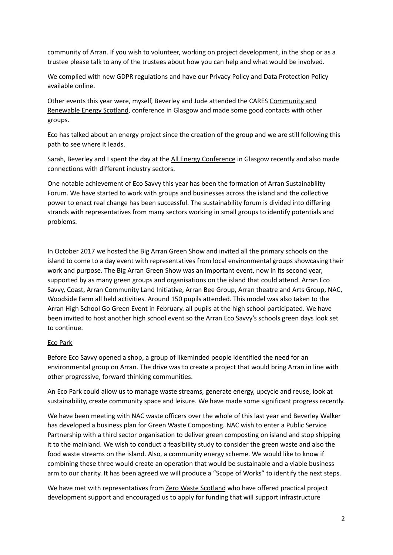community of Arran. If you wish to volunteer, working on project development, in the shop or as a trustee please talk to any of the trustees about how you can help and what would be involved.

We complied with new GDPR regulations and have our Privacy Policy and Data Protection Policy available online.

Other events this year were, myself, Beverley and Jude attended the CARES [Community](https://www.localenergy.scot/) and [Renewable](https://www.localenergy.scot/) Energy Scotland, conference in Glasgow and made some good contacts with other groups.

Eco has talked about an energy project since the creation of the group and we are still following this path to see where it leads.

Sarah, Beverley and I spent the day at the All Energy [Conference](https://www.all-energy.co.uk/Conference/Conference-Overview/) in Glasgow recently and also made connections with different industry sectors.

One notable achievement of Eco Savvy this year has been the formation of Arran Sustainability Forum. We have started to work with groups and businesses across the island and the collective power to enact real change has been successful. The sustainability forum is divided into differing strands with representatives from many sectors working in small groups to identify potentials and problems.

In October 2017 we hosted the Big Arran Green Show and invited all the primary schools on the island to come to a day event with representatives from local environmental groups showcasing their work and purpose. The Big Arran Green Show was an important event, now in its second year, supported by as many green groups and organisations on the island that could attend. Arran Eco Savvy, Coast, Arran Community Land Initiative, Arran Bee Group, Arran theatre and Arts Group, NAC, Woodside Farm all held activities. Around 150 pupils attended. This model was also taken to the Arran High School Go Green Event in February. all pupils at the high school participated. We have been invited to host another high school event so the Arran Eco Savvy's schools green days look set to continue.

# Eco Park

Before Eco Savvy opened a shop, a group of likeminded people identified the need for an environmental group on Arran. The drive was to create a project that would bring Arran in line with other progressive, forward thinking communities.

An Eco Park could allow us to manage waste streams, generate energy, upcycle and reuse, look at sustainability, create community space and leisure. We have made some significant progress recently.

We have been meeting with NAC waste officers over the whole of this last year and Beverley Walker has developed a business plan for Green Waste Composting. NAC wish to enter a Public Service Partnership with a third sector organisation to deliver green composting on island and stop shipping it to the mainland. We wish to conduct a feasibility study to consider the green waste and also the food waste streams on the island. Also, a community energy scheme. We would like to know if combining these three would create an operation that would be sustainable and a viable business arm to our charity. It has been agreed we will produce a "Scope of Works" to identify the next steps.

We have met with representatives from Zero Waste [Scotland](https://www.zerowastescotland.org.uk/) who have offered practical project development support and encouraged us to apply for funding that will support infrastructure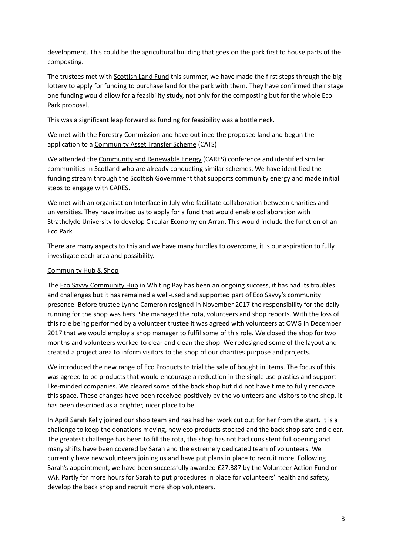development. This could be the agricultural building that goes on the park first to house parts of the composting.

The trustees met with [Scottish](https://www.biglotteryfund.org.uk/funding/programmes/scottish-land-fund) Land Fund this summer, we have made the first steps through the big lottery to apply for funding to purchase land for the park with them. They have confirmed their stage one funding would allow for a feasibility study, not only for the composting but for the whole Eco Park proposal.

This was a significant leap forward as funding for feasibility was a bottle neck.

We met with the Forestry Commission and have outlined the proposed land and begun the application to a [Community](https://scotland.forestry.gov.uk/managing/get-involved/community-asset-transfer-scheme) Asset Transfer Scheme (CATS)

We attended the [Community](https://www.localenergy.scot/) and Renewable Energy (CARES) conference and identified similar communities in Scotland who are already conducting similar schemes. We have identified the funding stream through the Scottish Government that supports community energy and made initial steps to engage with CARES.

We met with an organisation [Interface](https://interface-online.org.uk/) in July who facilitate collaboration between charities and universities. They have invited us to apply for a fund that would enable collaboration with Strathclyde University to develop Circular Economy on Arran. This would include the function of an Eco Park.

There are many aspects to this and we have many hurdles to overcome, it is our aspiration to fully investigate each area and possibility.

#### Community Hub & Shop

The Eco Savvy [Community](http://arranecosavvy.org.uk/shop/community-shop-2/) Hub in Whiting Bay has been an ongoing success, it has had its troubles and challenges but it has remained a well-used and supported part of Eco Savvy's community presence. Before trustee Lynne Cameron resigned in November 2017 the responsibility for the daily running for the shop was hers. She managed the rota, volunteers and shop reports. With the loss of this role being performed by a volunteer trustee it was agreed with volunteers at OWG in December 2017 that we would employ a shop manager to fulfil some of this role. We closed the shop for two months and volunteers worked to clear and clean the shop. We redesigned some of the layout and created a project area to inform visitors to the shop of our charities purpose and projects.

We introduced the new range of Eco Products to trial the sale of bought in items. The focus of this was agreed to be products that would encourage a reduction in the single use plastics and support like-minded companies. We cleared some of the back shop but did not have time to fully renovate this space. These changes have been received positively by the volunteers and visitors to the shop, it has been described as a brighter, nicer place to be.

In April Sarah Kelly joined our shop team and has had her work cut out for her from the start. It is a challenge to keep the donations moving, new eco products stocked and the back shop safe and clear. The greatest challenge has been to fill the rota, the shop has not had consistent full opening and many shifts have been covered by Sarah and the extremely dedicated team of volunteers. We currently have new volunteers joining us and have put plans in place to recruit more. Following Sarah's appointment, we have been successfully awarded £27,387 by the Volunteer Action Fund or VAF. Partly for more hours for Sarah to put procedures in place for volunteers' health and safety, develop the back shop and recruit more shop volunteers.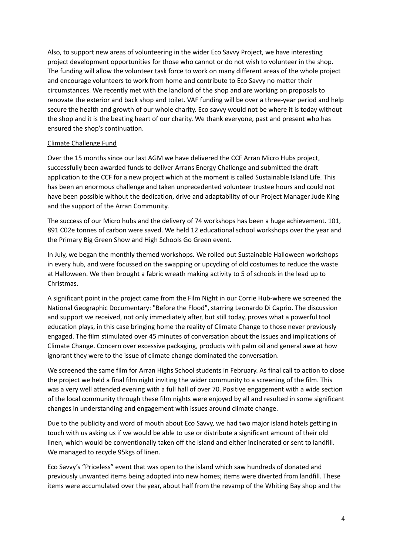Also, to support new areas of volunteering in the wider Eco Savvy Project, we have interesting project development opportunities for those who cannot or do not wish to volunteer in the shop. The funding will allow the volunteer task force to work on many different areas of the whole project and encourage volunteers to work from home and contribute to Eco Savvy no matter their circumstances. We recently met with the landlord of the shop and are working on proposals to renovate the exterior and back shop and toilet. VAF funding will be over a three-year period and help secure the health and growth of our whole charity. Eco savvy would not be where it is today without the shop and it is the beating heart of our charity. We thank everyone, past and present who has ensured the shop's continuation.

#### Climate [Challenge](https://www.keepscotlandbeautiful.org/sustainability-climate-change/climate-challenge-fund/) Fund

Over the 15 months since our last AGM we have delivered the [CCF](https://www.keepscotlandbeautiful.org/sustainability-climate-change/climate-challenge-fund/) Arran Micro Hubs project, successfully been awarded funds to deliver Arrans Energy Challenge and submitted the draft application to the CCF for a new project which at the moment is called Sustainable Island Life. This has been an enormous challenge and taken unprecedented volunteer trustee hours and could not have been possible without the dedication, drive and adaptability of our Project Manager Jude King and the support of the Arran Community.

The success of our Micro hubs and the delivery of 74 workshops has been a huge achievement. 101, 891 C02e tonnes of carbon were saved. We held 12 educational school workshops over the year and the Primary Big Green Show and High Schools Go Green event.

In July, we began the monthly themed workshops. We rolled out Sustainable Halloween workshops in every hub, and were focussed on the swapping or upcycling of old costumes to reduce the waste at Halloween. We then brought a fabric wreath making activity to 5 of schools in the lead up to Christmas.

A significant point in the project came from the Film Night in our Corrie Hub-where we screened the National Geographic Documentary: "Before the Flood", starring Leonardo Di Caprio. The discussion and support we received, not only immediately after, but still today, proves what a powerful tool education plays, in this case bringing home the reality of Climate Change to those never previously engaged. The film stimulated over 45 minutes of conversation about the issues and implications of Climate Change. Concern over excessive packaging, products with palm oil and general awe at how ignorant they were to the issue of climate change dominated the conversation.

We screened the same film for Arran Highs School students in February. As final call to action to close the project we held a final film night inviting the wider community to a screening of the film. This was a very well attended evening with a full hall of over 70. Positive engagement with a wide section of the local community through these film nights were enjoyed by all and resulted in some significant changes in understanding and engagement with issues around climate change.

Due to the publicity and word of mouth about Eco Savvy, we had two major island hotels getting in touch with us asking us if we would be able to use or distribute a significant amount of their old linen, which would be conventionally taken off the island and either incinerated or sent to landfill. We managed to recycle 95kgs of linen.

Eco Savvy's "Priceless" event that was open to the island which saw hundreds of donated and previously unwanted items being adopted into new homes; items were diverted from landfill. These items were accumulated over the year, about half from the revamp of the Whiting Bay shop and the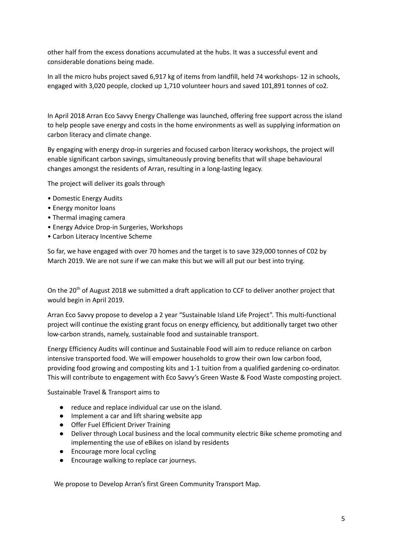other half from the excess donations accumulated at the hubs. It was a successful event and considerable donations being made.

In all the micro hubs project saved 6,917 kg of items from landfill, held 74 workshops- 12 in schools, engaged with 3,020 people, clocked up 1,710 volunteer hours and saved 101,891 tonnes of co2.

In April 2018 Arran Eco Savvy Energy Challenge was launched, offering free support across the island to help people save energy and costs in the home environments as well as supplying information on carbon literacy and climate change.

By engaging with energy drop-in surgeries and focused carbon literacy workshops, the project will enable significant carbon savings, simultaneously proving benefits that will shape behavioural changes amongst the residents of Arran, resulting in a long-lasting legacy.

The project will deliver its goals through

- Domestic Energy Audits
- Energy monitor loans
- Thermal imaging camera
- Energy Advice Drop-in Surgeries, Workshops
- Carbon Literacy Incentive Scheme

So far, we have engaged with over 70 homes and the target is to save 329,000 tonnes of C02 by March 2019. We are not sure if we can make this but we will all put our best into trying.

On the 20<sup>th</sup> of August 2018 we submitted a draft application to CCF to deliver another project that would begin in April 2019.

Arran Eco Savvy propose to develop a 2 year "Sustainable Island Life Project". This multi-functional project will continue the existing grant focus on energy efficiency, but additionally target two other low-carbon strands, namely, sustainable food and sustainable transport.

Energy Efficiency Audits will continue and Sustainable Food will aim to reduce reliance on carbon intensive transported food. We will empower households to grow their own low carbon food, providing food growing and composting kits and 1-1 tuition from a qualified gardening co-ordinator. This will contribute to engagement with Eco Savvy's Green Waste & Food Waste composting project.

Sustainable Travel & Transport aims to

- reduce and replace individual car use on the island.
- Implement a car and lift sharing website app
- Offer Fuel Efficient Driver Training
- Deliver through Local business and the local community electric Bike scheme promoting and implementing the use of eBikes on island by residents
- Encourage more local cycling
- Encourage walking to replace car journeys.

We propose to Develop Arran's first Green Community Transport Map.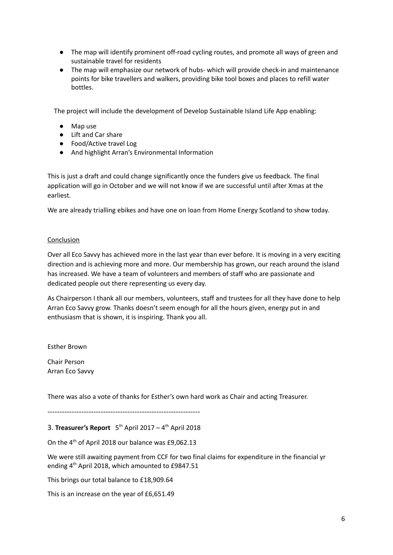- The map will identify prominent off-road cycling routes, and promote all ways of green and sustainable travel for residents
- The map will emphasize our network of hubs- which will provide check-in and maintenance points for bike travellers and walkers, providing bike tool boxes and places to refill water bottles.

The project will include the development of Develop Sustainable Island Life App enabling:

- Map use
- Lift and Car share
- Food/Active travel Log
- And highlight Arran's Environmental Information

This is just a draft and could change significantly once the funders give us feedback. The final application will go in October and we will not know if we are successful until after Xmas at the earliest.

We are already trialling ebikes and have one on loan from Home Energy Scotland to show today.

#### **Conclusion**

Over all Eco Savvy has achieved more in the last year than ever before. It is moving in a very exciting direction and is achieving more and more. Our membership has grown, our reach around the island has increased. We have a team of volunteers and members of staff who are passionate and dedicated people out there representing us every day.

As Chairperson I thank all our members, volunteers, staff and trustees for all they have done to help Arran Eco Savvy grow. Thanks doesn't seem enough for all the hours given, energy put in and enthusiasm that is shown, it is inspiring. Thank you all.

Esther Brown

Chair Person Arran Eco Savvy

There was also a vote of thanks for Esther's own hard work as Chair and acting Treasurer.

 $-$ 

# 3. **Treasurer's Report** 5 th April 2017 – 4 th April 2018

On the  $4^{th}$  of April 2018 our balance was £9,062.13

We were still awaiting payment from CCF for two final claims for expenditure in the financial yr ending 4<sup>th</sup> April 2018, which amounted to £9847.51

This brings our total balance to £18,909.64

This is an increase on the year of £6,651.49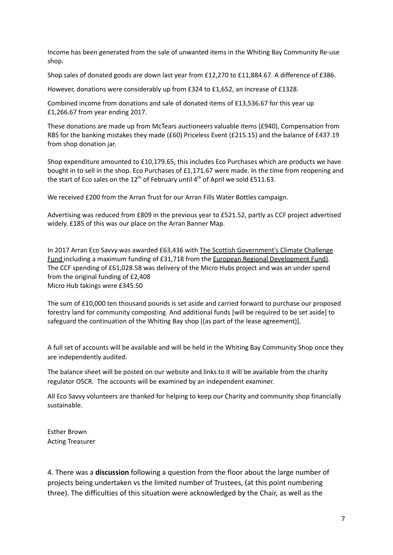Income has been generated from the sale of unwanted items in the Whiting Bay Community Re-use shop.

Shop sales of donated goods are down last year from £12,270 to £11,884.67. A difference of £386.

However, donations were considerably up from £324 to £1,652, an increase of £1328.

Combined income from donations and sale of donated items of £13,536.67 for this year up £1,266.67 from year ending 2017.

These donations are made up from McTears auctioneers valuable items (£940), Compensation from RBS for the banking mistakes they made (£60) Priceless Event (£215.15) and the balance of £437.19 from shop donation jar.

Shop expenditure amounted to £10,179.65, this includes Eco Purchases which are products we have bought in to sell in the shop. Eco Purchases of £1,171.67 were made. In the time from reopening and the start of Eco sales on the 12<sup>th</sup> of February until 4<sup>th</sup> of April we sold £511.63.

We received £200 from the Arran Trust for our Arran Fills Water Bottles campaign.

Advertising was reduced from £809 in the previous year to £521.52, partly as CCF project advertised widely. £185 of this was our place on the Arran Banner Map.

In 2017 Arran Eco Savvy was awarded £63,436 with The Scottish [Government's](http://www.keepscotlandbeautiful.org/sustainability-climate-change/climate-challenge-fund/) Climate Challenge [Fund](http://www.keepscotlandbeautiful.org/sustainability-climate-change/climate-challenge-fund/) including a maximum funding of £31,718 from the European Regional [Development](http://ec.europa.eu/regional_policy/en/funding/) Fund). The CCF spending of £61,028.58 was delivery of the Micro Hubs project and was an under spend from the original funding of £2,408 Micro Hub takings were £345.50

The sum of £10,000 ten thousand pounds is set aside and carried forward to purchase our proposed forestry land for community composting. And additional funds [will be required to be set aside] to safeguard the continuation of the Whiting Bay shop [(as part of the lease agreement)].

A full set of accounts will be available and will be held in the Whiting Bay Community Shop once they are independently audited.

The balance sheet will be posted on our website and links to it will be available from the charity regulator OSCR. The accounts will be examined by an independent examiner.

All Eco Savvy volunteers are thanked for helping to keep our Charity and community shop financially sustainable.

Esther Brown Acting Treasurer

4. There was a **discussion** following a question from the floor about the large number of projects being undertaken vs the limited number of Trustees, (at this point numbering three). The difficulties of this situation were acknowledged by the Chair, as well as the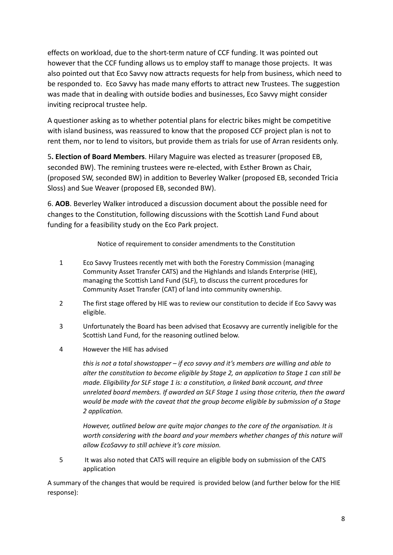effects on workload, due to the short-term nature of CCF funding. It was pointed out however that the CCF funding allows us to employ staff to manage those projects. It was also pointed out that Eco Savvy now attracts requests for help from business, which need to be responded to. Eco Savvy has made many efforts to attract new Trustees. The suggestion was made that in dealing with outside bodies and businesses, Eco Savvy might consider inviting reciprocal trustee help.

A questioner asking as to whether potential plans for electric bikes might be competitive with island business, was reassured to know that the proposed CCF project plan is not to rent them, nor to lend to visitors, but provide them as trials for use of Arran residents only.

5**. Election of Board Members**. Hilary Maguire was elected as treasurer (proposed EB, seconded BW). The remining trustees were re-elected, with Esther Brown as Chair, (proposed SW, seconded BW) in addition to Beverley Walker (proposed EB, seconded Tricia Sloss) and Sue Weaver (proposed EB, seconded BW).

6. **AOB**. Beverley Walker introduced a discussion document about the possible need for changes to the Constitution, following discussions with the Scottish Land Fund about funding for a feasibility study on the Eco Park project.

Notice of requirement to consider amendments to the Constitution

- 1 Eco Savvy Trustees recently met with both the Forestry Commission (managing Community Asset Transfer CATS) and the Highlands and Islands Enterprise (HIE), managing the Scottish Land Fund (SLF), to discuss the current procedures for Community Asset Transfer (CAT) of land into community ownership.
- 2 The first stage offered by HIE was to review our constitution to decide if Eco Savvy was eligible.
- 3 Unfortunately the Board has been advised that Ecosavvy are currently ineligible for the Scottish Land Fund, for the reasoning outlined below.
- 4 However the HIE has advised

*this is not a total showstopper – if eco savvy and it's members are willing and able to alter the constitution to become eligible by Stage 2, an application to Stage 1 can still be made. Eligibility for SLF stage 1 is: a constitution, a linked bank account, and three unrelated board members. If awarded an SLF Stage 1 using those criteria, then the award would be made with the caveat that the group become eligible by submission of a Stage 2 application.*

*However, outlined below are quite major changes to the core of the organisation. It is worth considering with the board and your members whether changes of this nature will allow EcoSavvy to still achieve it's core mission.*

5 It was also noted that CATS will require an eligible body on submission of the CATS application

A summary of the changes that would be required is provided below (and further below for the HIE response):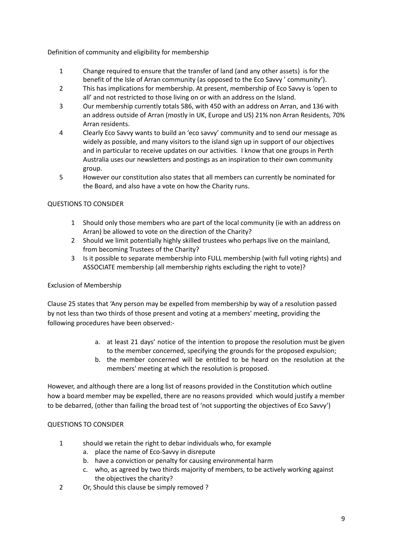Definition of community and eligibility for membership

- 1 Change required to ensure that the transfer of land (and any other assets) is for the benefit of the Isle of Arran community (as opposed to the Eco Savvy ' community').
- 2 This has implications for membership. At present, membership of Eco Savvy is 'open to all' and not restricted to those living on or with an address on the Island.
- 3 Our membership currently totals 586, with 450 with an address on Arran, and 136 with an address outside of Arran (mostly in UK, Europe and US) 21% non Arran Residents, 70% Arran residents.
- 4 Clearly Eco Savvy wants to build an 'eco savvy' community and to send our message as widely as possible, and many visitors to the island sign up in support of our objectives and in particular to receive updates on our activities. I know that one groups in Perth Australia uses our newsletters and postings as an inspiration to their own community group.
- 5 However our constitution also states that all members can currently be nominated for the Board, and also have a vote on how the Charity runs.

# QUESTIONS TO CONSIDER

- 1 Should only those members who are part of the local community (ie with an address on Arran) be allowed to vote on the direction of the Charity?
- 2 Should we limit potentially highly skilled trustees who perhaps live on the mainland, from becoming Trustees of the Charity?
- 3 Is it possible to separate membership into FULL membership (with full voting rights) and ASSOCIATE membership (all membership rights excluding the right to vote)?

# Exclusion of Membership

Clause 25 states that 'Any person may be expelled from membership by way of a resolution passed by not less than two thirds of those present and voting at a members' meeting, providing the following procedures have been observed:-

- a. at least 21 days' notice of the intention to propose the resolution must be given to the member concerned, specifying the grounds for the proposed expulsion;
- b. the member concerned will be entitled to be heard on the resolution at the members' meeting at which the resolution is proposed.

However, and although there are a long list of reasons provided in the Constitution which outline how a board member may be expelled, there are no reasons provided which would justify a member to be debarred, (other than failing the broad test of 'not supporting the objectives of Eco Savvy')

#### QUESTIONS TO CONSIDER

- 1 should we retain the right to debar individuals who, for example
	- a. place the name of Eco-Savvy in disrepute
	- b. have a conviction or penalty for causing environmental harm
	- c. who, as agreed by two thirds majority of members, to be actively working against the objectives the charity?
- 2 Or, Should this clause be simply removed ?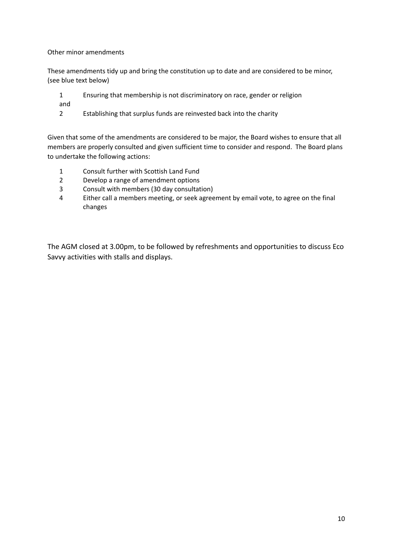Other minor amendments

These amendments tidy up and bring the constitution up to date and are considered to be minor, (see blue text below)

- 1 Ensuring that membership is not discriminatory on race, gender or religion
- and
- 2 Establishing that surplus funds are reinvested back into the charity

Given that some of the amendments are considered to be major, the Board wishes to ensure that all members are properly consulted and given sufficient time to consider and respond. The Board plans to undertake the following actions:

- 1 Consult further with Scottish Land Fund
- 2 Develop a range of amendment options
- 3 Consult with members (30 day consultation)
- 4 Either call a members meeting, or seek agreement by email vote, to agree on the final changes

The AGM closed at 3.00pm, to be followed by refreshments and opportunities to discuss Eco Savvy activities with stalls and displays.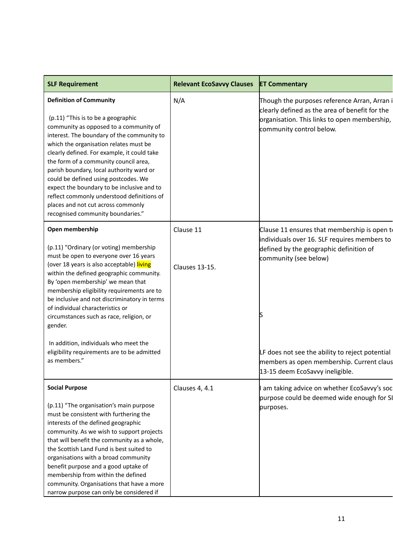| <b>SLF Requirement</b>                                                                                                                                                                                                                                                                                                                                                                                                                                                                                                                                    | <b>Relevant EcoSavvy Clauses</b>   | <b>ET Commentary</b>                                                                                                                                                                                                                                                                                |
|-----------------------------------------------------------------------------------------------------------------------------------------------------------------------------------------------------------------------------------------------------------------------------------------------------------------------------------------------------------------------------------------------------------------------------------------------------------------------------------------------------------------------------------------------------------|------------------------------------|-----------------------------------------------------------------------------------------------------------------------------------------------------------------------------------------------------------------------------------------------------------------------------------------------------|
| <b>Definition of Community</b><br>(p.11) "This is to be a geographic<br>community as opposed to a community of<br>interest. The boundary of the community to<br>which the organisation relates must be<br>clearly defined. For example, it could take<br>the form of a community council area,<br>parish boundary, local authority ward or<br>could be defined using postcodes. We<br>expect the boundary to be inclusive and to<br>reflect commonly understood definitions of<br>places and not cut across commonly<br>recognised community boundaries." | N/A                                | Though the purposes reference Arran, Arran i<br>clearly defined as the area of benefit for the<br>organisation. This links to open membership,<br>community control below.                                                                                                                          |
| Open membership<br>(p.11) "Ordinary (or voting) membership<br>must be open to everyone over 16 years<br>(over 18 years is also acceptable) living<br>within the defined geographic community.<br>By 'open membership' we mean that<br>membership eligibility requirements are to<br>be inclusive and not discriminatory in terms<br>of individual characteristics or<br>circumstances such as race, religion, or<br>gender.<br>In addition, individuals who meet the<br>eligibility requirements are to be admitted<br>as members."                       | Clause 11<br><b>Clauses 13-15.</b> | Clause 11 ensures that membership is open to<br>individuals over 16. SLF requires members to<br>defined by the geographic definition of<br>community (see below)<br>LF does not see the ability to reject potential<br>members as open membership. Current claus<br>13-15 deem EcoSavvy ineligible. |
| <b>Social Purpose</b><br>(p.11) "The organisation's main purpose<br>must be consistent with furthering the<br>interests of the defined geographic<br>community. As we wish to support projects<br>that will benefit the community as a whole,<br>the Scottish Land Fund is best suited to<br>organisations with a broad community<br>benefit purpose and a good uptake of<br>membership from within the defined<br>community. Organisations that have a more<br>narrow purpose can only be considered if                                                  | Clauses 4, 4.1                     | am taking advice on whether EcoSavvy's soc<br>purpose could be deemed wide enough for SI<br>purposes.                                                                                                                                                                                               |